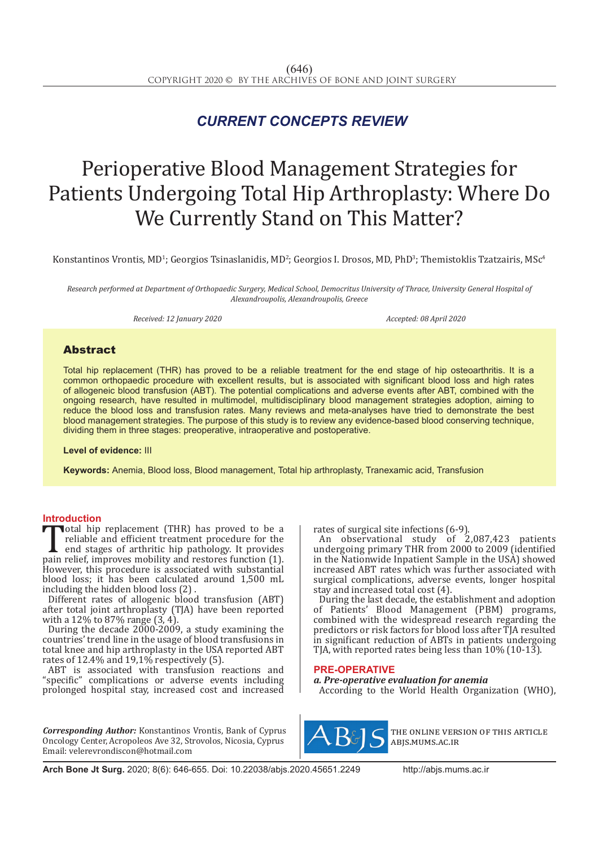## *CURRENT CONCEPTS REVIEW*

# Perioperative Blood Management Strategies for Patients Undergoing Total Hip Arthroplasty: Where Do We Currently Stand on This Matter?

Konstantinos Vrontis, MD<sup>1</sup>; Georgios Tsinaslanidis, MD<sup>2</sup>; Georgios I. Drosos, MD, PhD<sup>3</sup>; Themistoklis Tzatzairis, MSc<sup>4</sup>

*Research performed at Department of Orthopaedic Surgery, Medical School, Democritus University of Thrace, University General Hospital of Alexandroupolis, Alexandroupolis, Greece*

*Received: 12 January 2020 Accepted: 08 April 2020*

### Abstract

Total hip replacement (THR) has proved to be a reliable treatment for the end stage of hip osteoarthritis. It is a common orthopaedic procedure with excellent results, but is associated with significant blood loss and high rates of allogeneic blood transfusion (ABT). The potential complications and adverse events after ABT, combined with the ongoing research, have resulted in multimodel, multidisciplinary blood management strategies adoption, aiming to reduce the blood loss and transfusion rates*.* Many reviews and meta-analyses have tried to demonstrate the best blood management strategies. The purpose of this study is to review any evidence-based blood conserving technique, dividing them in three stages: preoperative, intraoperative and postoperative.

**Level of evidence:** III

**Keywords:** Anemia, Blood loss, Blood management, Total hip arthroplasty, Tranexamic acid, Transfusion

**Introduction**<br>**T**otal hip replacement (THR) has proved to be a Total hip replacement (THR) has proved to be a reliable and efficient treatment procedure for the end stages of arthritic hip pathology. It provides pain relief, improves mobility and restores function (1). However this pr reliable and efficient treatment procedure for the end stages of arthritic hip pathology. It provides However, this procedure is associated with substantial blood loss; it has been calculated around 1,500 mL including the hidden blood loss (2) .

Different rates of allogenic blood transfusion (ABT) after total joint arthroplasty (TJA) have been reported with a  $12\%$  to 87% range  $(3, 4)$ .

During the decade 2000-2009, a study examining the countries' trend line in the usage of blood transfusions in total knee and hip arthroplasty in the USA reported ABT rates of 12.4% and 19,1% respectively (5).

ABT is associated with transfusion reactions and "specific" complications or adverse events including prolonged hospital stay, increased cost and increased

*Corresponding Author:* Konstantinos Vrontis, Bank of Cyprus Oncology Center, Acropoleos Ave 32, Strovolos, Nicosia, Cyprus Email: velerevrondiscon@hotmail.com

rates of surgical site infections (6-9).

An observational study of 2,087,423 patients undergoing primary THR from 2000 to 2009 (identified in the Nationwide Inpatient Sample in the USA) showed increased ABT rates which was further associated with surgical complications, adverse events, longer hospital stay and increased total cost (4).

During the last decade, the establishment and adoption of Patients' Blood Management (PBM) programs, combined with the widespread research regarding the predictors or risk factors for blood loss after TJA resulted in significant reduction of ABTs in patients undergoing TJA, with reported rates being less than 10% (10-13).

#### **PRE-OPERATIVE**

*a. Pre-operative evaluation for anemia*

According to the World Health Organization (WHO),



the online version of this article abjs.mums.ac.ir

**Arch Bone Jt Surg.** 2020; 8(6): 646-655. Doi: 10.22038/abjs.2020.45651.2249 http://abjs.mums.ac.ir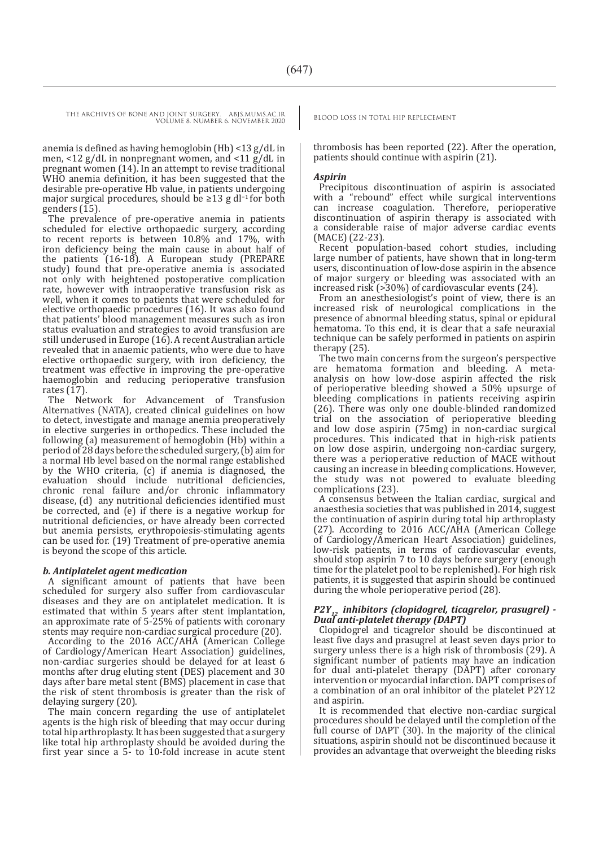THE ARCHIVES OF BONE AND JOINT SURGERY. ABJS.MUMS.AC.IR BLOOD LOSS IN TOTAL HIP REPLECEMENT

VOLUME 8. NUMBER 6. NOVEMBER 2020

anemia is defined as having hemoglobin (Hb) <13 g/dL in men, <12 g/dL in nonpregnant women, and <11 g/dL in pregnant women (14). In an attempt to revise traditional WHO anemia definition, it has been suggested that the desirable pre-operative Hb value, in patients undergoing major surgical procedures, should be ≥13 g dl−1 for both genders (15).

The prevalence of pre-operative anemia in patients scheduled for elective orthopaedic surgery, according to recent reports is between 10.8% and 17%, with iron deficiency being the main cause in about half of the patients (16-18). A European study (PREPARE study) found that pre-operative anemia is associated not only with heightened postoperative complication rate, however with intraoperative transfusion risk as well, when it comes to patients that were scheduled for elective orthopaedic procedures (16). It was also found that patients' blood management measures such as iron status evaluation and strategies to avoid transfusion are still underused in Europe (16). A recent Australian article revealed that in anaemic patients, who were due to have elective orthopaedic surgery, with iron deficiency, the treatment was effective in improving the pre-operative haemoglobin and reducing perioperative transfusion rates (17).<br>The Ne

Network for Advancement of Transfusion Alternatives (NATA), created clinical guidelines on how to detect, investigate and manage anemia preoperatively in elective surgeries in orthopedics. These included the following (a) measurement of hemoglobin (Hb) within a period of 28 days before the scheduled surgery, (b) aim for a normal Hb level based on the normal range established by the WHO criteria, (c) if anemia is diagnosed, the evaluation should include nutritional deficiencies, chronic renal failure and/or chronic inflammatory disease, (d) any nutritional deficiencies identified must be corrected, and (e) if there is a negative workup for nutritional deficiencies, or have already been corrected but anemia persists, erythropoiesis-stimulating agents can be used for. (19) Treatment of pre-operative anemia is beyond the scope of this article.

#### *b. Antiplatelet agent medication*

A significant amount of patients that have been scheduled for surgery also suffer from cardiovascular diseases and they are on antiplatelet medication. It is estimated that within 5 years after stent implantation, an approximate rate of 5-25% of patients with coronary stents may require non-cardiac surgical procedure (20).

According to the 2016 ACC/AHA (American College of Cardiology/American Heart Association) guidelines, non-cardiac surgeries should be delayed for at least 6 months after drug eluting stent (DES) placement and 30 days after bare metal stent (BMS) placement in case that the risk of stent thrombosis is greater than the risk of delaying surgery (20).

The main concern regarding the use of antiplatelet agents is the high risk of bleeding that may occur during total hip arthroplasty. It has been suggested that a surgery like total hip arthroplasty should be avoided during the first year since a 5- to 10-fold increase in acute stent

thrombosis has been reported (22). After the operation, patients should continue with aspirin (21).

#### *Aspirin*

Precipitous discontinuation of aspirin is associated with a "rebound" effect while surgical interventions can increase coagulation. Therefore, perioperative discontinuation of aspirin therapy is associated with a considerable raise of major adverse cardiac events (ΜΑCΕ) (22-23).

Recent population-based cohort studies, including large number of patients, have shown that in long-term users, discontinuation of low-dose aspirin in the absence of major surgery or bleeding was associated with an increased risk (>30%) of cardiovascular events (24).

From an anesthesiologist's point of view, there is an increased risk of neurological complications in the presence of abnormal bleeding status, spinal or epidural hematoma. To this end, it is clear that a safe neuraxial technique can be safely performed in patients on aspirin therapy (25).

The two main concerns from the surgeon's perspective are hematoma formation and bleeding. A metaanalysis on how low-dose aspirin affected the risk of perioperative bleeding showed a 50% upsurge of bleeding complications in patients receiving aspirin (26). There was only one double-blinded randomized trial on the association of perioperative bleeding and low dose aspirin (75mg) in non-cardiac surgical procedures. This indicated that in high-risk patients on low dose aspirin, undergoing non-cardiac surgery, there was a perioperative reduction of MACE without causing an increase in bleeding complications. However, the study was not powered to evaluate bleeding complications (23).

A consensus between the Italian cardiac, surgical and anaesthesia societies that was published in 2014, suggest the continuation of aspirin during total hip arthroplasty (27). According to 2016 ACC/AHA (American College of Cardiology/American Heart Association) guidelines, low-risk patients, in terms of cardiovascular events, should stop aspirin 7 to 10 days before surgery (enough time for the platelet pool to be replenished). For high risk patients, it is suggested that aspirin should be continued during the whole perioperative period (28).

## *P2Y12 inhibitors (clopidogrel, ticagrelor, prasugrel) - Dual anti-platelet therapy (DAPT)*

Clopidogrel and ticagrelor should be discontinued at least five days and prasugrel at least seven days prior to surgery unless there is a high risk of thrombosis (29). A significant number of patients may have an indication for dual anti-platelet therapy (DAPT) after coronary intervention or myocardial infarction. DAPT comprises of a combination of an oral inhibitor of the platelet P2Y12 and aspirin.

It is recommended that elective non-cardiac surgical procedures should be delayed until the completion of the full course of DAPT (30). In the majority of the clinical situations, aspirin should not be discontinued because it provides an advantage that overweight the bleeding risks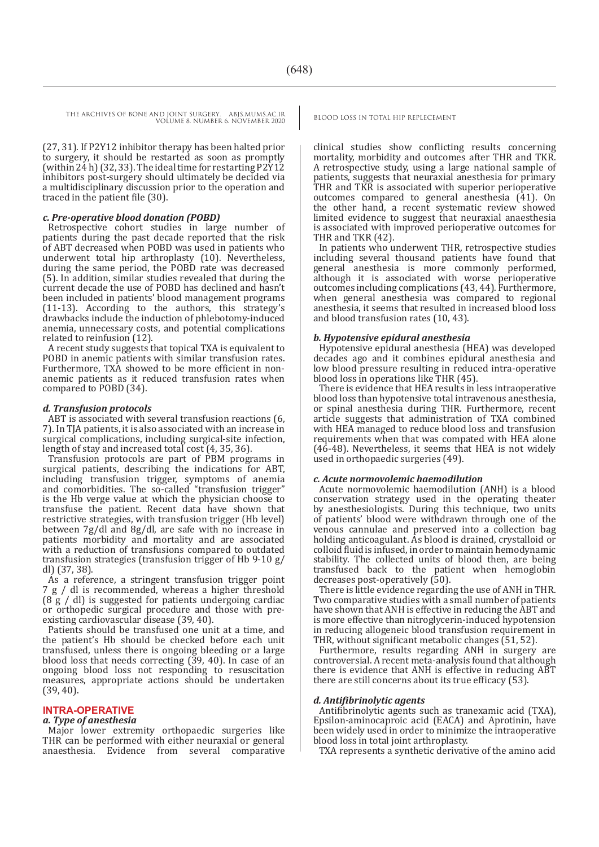(27, 31). If P2Y12 inhibitor therapy has been halted prior to surgery, it should be restarted as soon as promptly (within 24 h) (32, 33). The ideal time for restarting P2Y12 inhibitors post-surgery should ultimately be decided via a multidisciplinary discussion prior to the operation and traced in the patient file (30).

#### *c. Pre-operative blood donation (POBD)*

Retrospective cohort studies in large number of patients during the past decade reported that the risk of ΑΒΤ decreased when POBD was used in patients who underwent total hip arthroplasty (10). Nevertheless, during the same period, the POBD rate was decreased (5). In addition, similar studies revealed that during the current decade the use of POBD has declined and hasn't been included in patients' blood management programs (11-13). According to the authors, this strategy's drawbacks include the induction of phlebotomy-induced anemia, unnecessary costs, and potential complications related to reinfusion (12).

A recent study suggests that topical TXA is equivalent to POBD in anemic patients with similar transfusion rates. Furthermore, TXA showed to be more efficient in nonanemic patients as it reduced transfusion rates when compared to POBD (34).

#### *d. Transfusion protocols*

ABT is associated with several transfusion reactions (6, 7). In TJA patients, it is also associated with an increase in surgical complications, including surgical-site infection, length of stay and increased total cost (4, 35, 36).

Transfusion protocols are part of PBM programs in surgical patients, describing the indications for ABT, including transfusion trigger, symptoms of anemia and comorbidities. The so-called "transfusion trigger" is the Hb verge value at which the physician choose to transfuse the patient. Recent data have shown that restrictive strategies, with transfusion trigger (Hb level) between 7g/dl and 8g/dl, are safe with no increase in patients morbidity and mortality and are associated with a reduction of transfusions compared to outdated transfusion strategies (transfusion trigger of Hb 9-10 g/ dl) (37, 38).

As a reference, a stringent transfusion trigger point 7 g / dl is recommended, whereas a higher threshold (8 g / dl) is suggested for patients undergoing cardiac or orthopedic surgical procedure and those with preexisting cardiovascular disease (39, 40).

Patients should be transfused one unit at a time, and the patient's Hb should be checked before each unit transfused, unless there is ongoing bleeding or a large blood loss that needs correcting  $(39, 40)$ . In case of an ongoing blood loss not responding to resuscitation measures, appropriate actions should be undertaken (39, 40).

#### **INTRA-OPERATIVE**

#### *a. Type of anesthesia*

Major lower extremity orthopaedic surgeries like THR can be performed with either neuraxial or general anaesthesia. Evidence from several comparative

clinical studies show conflicting results concerning mortality, morbidity and outcomes after THR and TKR. A retrospective study, using a large national sample of patients, suggests that neuraxial anesthesia for primary THR and TKR is associated with superior perioperative outcomes compared to general anesthesia (41). On the other hand, a recent systematic review showed limited evidence to suggest that neuraxial anaesthesia is associated with improved perioperative outcomes for THR and TKR (42).

In patients who underwent THR, retrospective studies including several thousand patients have found that general anesthesia is more commonly performed, although it is associated with worse perioperative outcomes including complications (43, 44). Furthermore, when general anesthesia was compared to regional anesthesia, it seems that resulted in increased blood loss and blood transfusion rates (10, 43).

#### *b. Hypotensive epidural anesthesia*

Hypotensive epidural anesthesia (HEA) was developed decades ago and it combines epidural anesthesia and low blood pressure resulting in reduced intra-operative blood loss in operations like THR (45).

There is evidence that HEA results in less intraoperative blood loss than hypotensive total intravenous anesthesia, or spinal anesthesia during THR. Furthermore, recent article suggests that administration of TXA combined with HEA managed to reduce blood loss and transfusion requirements when that was compated with HEA alone (46-48). Nevertheless, it seems that HEA is not widely used in orthopaedic surgeries (49).

#### *c. Acute normovolemic haemodilution*

Acute normovolemic haemodilution (ANH) is a blood conservation strategy used in the operating theater by anesthesiologists. During this technique, two units of patients' blood were withdrawn through one of the venous cannulae and preserved into a collection bag holding anticoagulant. As blood is drained, crystalloid or colloid fluid is infused, in order to maintain hemodynamic stability. The collected units of blood then, are being transfused back to the patient when hemoglobin decreases post-operatively (50).

There is little evidence regarding the use of ANH in THR. Two comparative studies with a small number of patients have shown that ANH is effective in reducing the ABT and is more effective than nitroglycerin-induced hypotension in reducing allogeneic blood transfusion requirement in THR, without significant metabolic changes (51, 52).

Furthermore, results regarding ANH in surgery are controversial. A recent meta-analysis found that although there is evidence that ANH is effective in reducing ABT there are still concerns about its true efficacy (53).

#### *d. Antifibrinolytic agents*

Antifibrinolytic agents such as tranexamic acid (TXA), Epsilon-aminocaproic acid (EACA) and Aprotinin, have been widely used in order to minimize the intraoperative blood loss in total joint arthroplasty.

TXA represents a synthetic derivative of the amino acid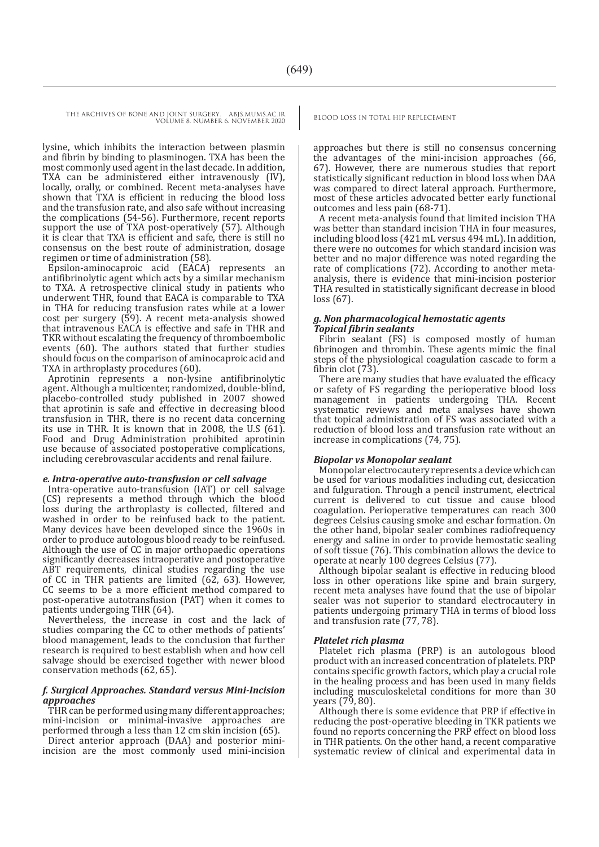> lysine, which inhibits the interaction between plasmin and fibrin by binding to plasminogen. TXA has been the most commonly used agent in the last decade. In addition, TXA can be administered either intravenously (IV), locally, orally, or combined. Recent meta-analyses have shown that TXA is efficient in reducing the blood loss and the transfusion rate, and also safe without increasing the complications (54-56). Furthermore, recent reports support the use of TXA post-operatively (57). Although it is clear that TXA is efficient and safe, there is still no consensus on the best route of administration, dosage regimen or time of administration (58).

> Epsilon-aminocaproic acid (EACA) represents an antifibrinolytic agent which acts by a similar mechanism to TXA. A retrospective clinical study in patients who underwent THR, found that EACA is comparable to TXA in THA for reducing transfusion rates while at a lower cost per surgery (59). A recent meta-analysis showed that intravenous EACA is effective and safe in THR and TKR without escalating the frequency of thromboembolic events (60). The authors stated that further studies should focus on the comparison of aminocaproic acid and TXA in arthroplasty procedures (60).

> Aprotinin represents a non-lysine antifibrinolytic agent. Although a multicenter, randomized, double-blind, placebo-controlled study published in 2007 showed that aprotinin is safe and effective in decreasing blood transfusion in THR, there is no recent data concerning its use in THR. It is known that in 2008, the U.S (61). Food and Drug Administration prohibited aprotinin use because of associated postoperative complications, including cerebrovascular accidents and renal failure.

#### *e. Intra-operative auto-transfusion or cell salvage*

Intra-operative auto-transfusion (IAT) or cell salvage (CS) represents a method through which the blood loss during the arthroplasty is collected, filtered and washed in order to be reinfused back to the patient. Many devices have been developed since the 1960s in order to produce autologous blood ready to be reinfused. Although the use of CC in major orthopaedic operations significantly decreases intraoperative and postoperative ABT requirements, clinical studies regarding the use of CC in THR patients are limited (62, 63). However, CC seems to be a more efficient method compared to post-operative autotransfusion (PAT) when it comes to patients undergoing THR (64).

Nevertheless, the increase in cost and the lack of studies comparing the CC to other methods of patients' blood management, leads to the conclusion that further research is required to best establish when and how cell salvage should be exercised together with newer blood conservation methods (62, 65).

#### *f. Surgical Approaches. Standard versus Mini-Incision approaches*

THR can be performed using many different approaches; mini-incision or minimal-invasive approaches are performed through a less than 12 cm skin incision (65).

Direct anterior approach (DAA) and posterior miniincision are the most commonly used mini-incision

approaches but there is still no consensus concerning the advantages of the mini-incision approaches (66, 67). However, there are numerous studies that report statistically significant reduction in blood loss when DAA was compared to direct lateral approach. Furthermore, most of these articles advocated better early functional outcomes and less pain (68-71).

A recent meta-analysis found that limited incision THA was better than standard incision THA in four measures, including blood loss (421 mL versus 494 mL). In addition, there were no outcomes for which standard incision was better and no major difference was noted regarding the rate of complications (72). According to another metaanalysis, there is evidence that mini-incision posterior THA resulted in statistically significant decrease in blood loss (67).

#### *g. Non pharmacological hemostatic agents Topical fibrin sealants*

Fibrin sealant (FS) is composed mostly of human fibrinogen and thrombin. These agents mimic the final steps of the physiological coagulation cascade to form a fibrin clot (73).

There are many studies that have evaluated the efficacy or safety of FS regarding the perioperative blood loss management in patients undergoing THA. Recent systematic reviews and meta analyses have shown that topical administration of FS was associated with a reduction of blood loss and transfusion rate without an increase in complications (74, 75).

#### *Biopolar vs Monopolar sealant*

Monopolar electrocautery represents a device which can be used for various modalities including cut, desiccation and fulguration. Through a pencil instrument, electrical current is delivered to cut tissue and cause blood coagulation. Perioperative temperatures can reach 300 degrees Celsius causing smoke and eschar formation. On the other hand, bipolar sealer combines radiofrequency energy and saline in order to provide hemostatic sealing of soft tissue (76). This combination allows the device to operate at nearly 100 degrees Celsius (77).

Although bipolar sealant is effective in reducing blood loss in other operations like spine and brain surgery, recent meta analyses have found that the use of bipolar sealer was not superior to standard electrocautery in patients undergoing primary THA in terms of blood loss and transfusion rate (77, 78).

#### *Platelet rich plasma*

Platelet rich plasma (PRP) is an autologous blood product with an increased concentration of platelets. PRP contains specific growth factors, which play a crucial role in the healing process and has been used in many fields including musculoskeletal conditions for more than 30 years (79, 80).

Although there is some evidence that PRP if effective in reducing the post-operative bleeding in TKR patients we found no reports concerning the PRP effect on blood loss in THR patients. On the other hand, a recent comparative systematic review of clinical and experimental data in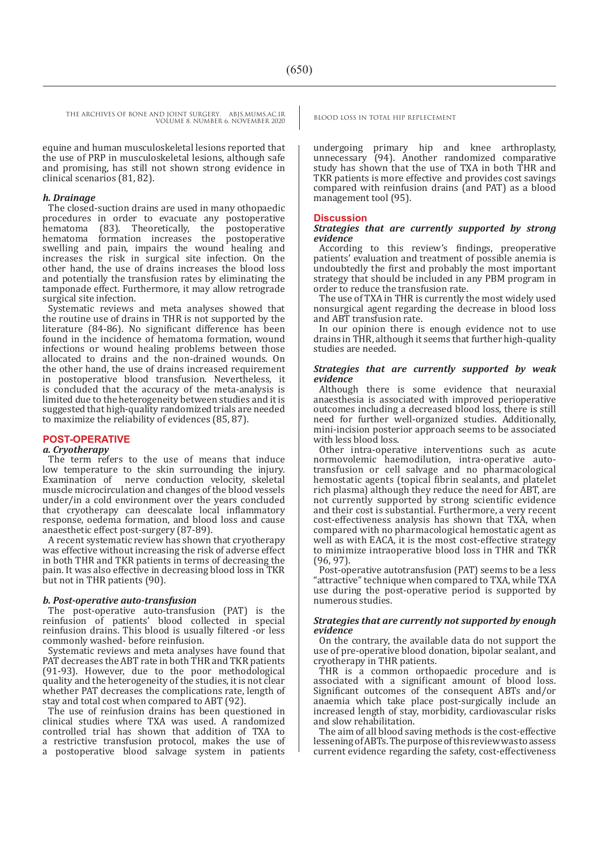equine and human musculoskeletal lesions reported that the use of PRP in musculoskeletal lesions, although safe and promising, has still not shown strong evidence in clinical scenarios (81, 82).

#### *h. Drainage*

The closed-suction drains are used in many othopaedic procedures in order to evacuate any postoperative Theoretically, the postoperative<br>ion increases the postoperative hematoma formation increases the swelling and pain, impairs the wound healing and increases the risk in surgical site infection. On the other hand, the use of drains increases the blood loss and potentially the transfusion rates by eliminating the tamponade effect. Furthermore, it may allow retrograde surgical site infection.

Systematic reviews and meta analyses showed that the routine use of drains in THR is not supported by the literature (84-86). No significant difference has been found in the incidence of hematoma formation, wound infections or wound healing problems between those allocated to drains and the non-drained wounds. On the other hand, the use of drains increased requirement in postoperative blood transfusion. Nevertheless, it is concluded that the accuracy of the meta-analysis is limited due to the heterogeneity between studies and it is suggested that high-quality randomized trials are needed to maximize the reliability of evidences (85, 87).

#### **POST-OPERATIVE**

#### *a. Cryotherapy*

The term refers to the use of means that induce low temperature to the skin surrounding the injury.<br>Examination of nerve conduction velocity, skeletal nerve conduction velocity, skeletal muscle microcirculation and changes of the blood vessels under/in a cold environment over the years concluded that cryotherapy can deescalate local inflammatory response, oedema formation, and blood loss and cause anaesthetic effect post-surgery (87-89).

A recent systematic review has shown that cryotherapy was effective without increasing the risk of adverse effect in both THR and TKR patients in terms of decreasing the pain. It was also effective in decreasing blood loss in TKR but not in THR patients (90).

#### *b. Post-operative auto-transfusion*

The post-operative auto-transfusion (PAT) is the reinfusion of patients' blood collected in special reinfusion drains. This blood is usually filtered -or less commonly washed- before reinfusion.

Systematic reviews and meta analyses have found that PAT decreases the ABT rate in both THR and TKR patients (91-93). However, due to the poor methodological quality and the heterogeneity of the studies, it is not clear whether PAT decreases the complications rate, length of stay and total cost when compared to ABT (92).

The use of reinfusion drains has been questioned in clinical studies where TXA was used. A randomized controlled trial has shown that addition of TXA to a restrictive transfusion protocol, makes the use of a postoperative blood salvage system in patients

undergoing primary hip and knee arthroplasty, unnecessary (94). Another randomized comparative study has shown that the use of TXA in both THR and TKR patients is more effective and provides cost savings compared with reinfusion drains (and PAT) as a blood management tool (95).

#### **Discussion**

#### *Strategies that are currently supported by strong evidence*

According to this review's findings, preoperative patients' evaluation and treatment of possible anemia is undoubtedly the first and probably the most important strategy that should be included in any PBM program in order to reduce the transfusion rate.

The use of TXA in THR is currently the most widely used nonsurgical agent regarding the decrease in blood loss and ABT transfusion rate.

In our opinion there is enough evidence not to use drains in THR, although it seems that further high-quality studies are needed.

#### *Strategies that are currently supported by weak evidence*

Although there is some evidence that neuraxial anaesthesia is associated with improved perioperative outcomes including a decreased blood loss, there is still need for further well-organized studies. Additionally, mini-incision posterior approach seems to be associated with less blood loss.

Other intra-operative interventions such as acute normovolemic haemodilution, intra-operative autotransfusion or cell salvage and no pharmacological hemostatic agents (topical fibrin sealants, and platelet rich plasma) although they reduce the need for ABT, are not currently supported by strong scientific evidence and their cost is substantial. Furthermore, a very recent cost-effectiveness analysis has shown that TXA, when compared with no pharmacological hemostatic agent as well as with EACA, it is the most cost-effective strategy to minimize intraoperative blood loss in THR and TKR (96, 97).

Post-operative autotransfusion (PAT) seems to be a less "attractive" technique when compared to TXA, while TXA use during the post-operative period is supported by numerous studies.

#### *Strategies that are currently not supported by enough evidence*

On the contrary, the available data do not support the use of pre-operative blood donation, bipolar sealant, and cryotherapy in THR patients.

THR is a common orthopaedic procedure and is associated with a significant amount of blood loss. Significant outcomes of the consequent ABTs and/or anaemia which take place post-surgically include an increased length of stay, morbidity, cardiovascular risks and slow rehabilitation.

The aim of all blood saving methods is the cost-effective lessening of ABTs. The purpose of this review was to assess current evidence regarding the safety, cost-effectiveness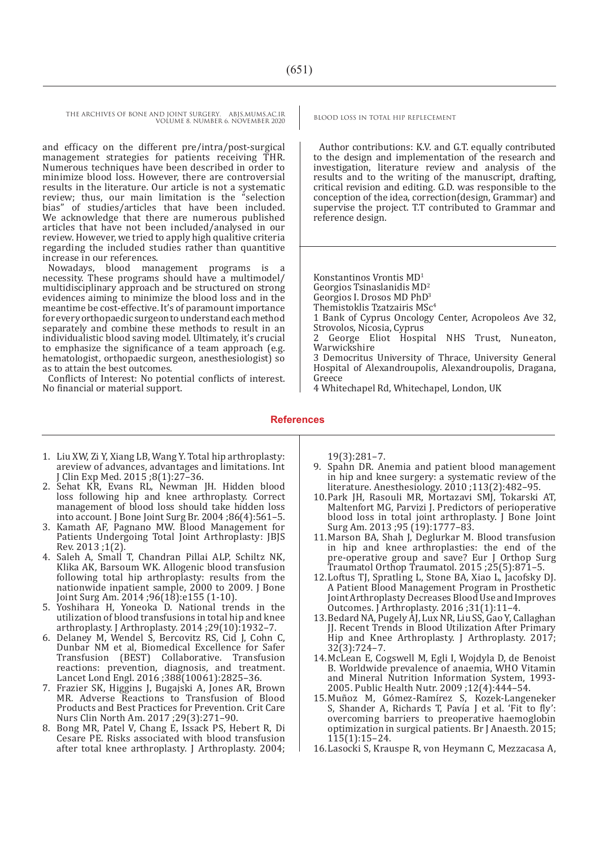and efficacy on the different pre/intra/post-surgical management strategies for patients receiving THR. Numerous techniques have been described in order to minimize blood loss. However, there are controversial results in the literature. Our article is not a systematic review; thus, our main limitation is the "selection bias" of studies/articles that have been included. We acknowledge that there are numerous published articles that have not been included/analysed in our review. However, we tried to apply high qualitive criteria regarding the included studies rather than quantitive increase in our references.

Nowadays, blood management programs is necessity. These programs should have a multimodel/ multidisciplinary approach and be structured on strong evidences aiming to minimize the blood loss and in the meantime be cost-effective. It's of paramount importance for every orthopaedic surgeon to understand each method separately and combine these methods to result in an individualistic blood saving model. Ultimately, it's crucial to emphasize the significance of a team approach (e.g. hematologist, orthopaedic surgeon, anesthesiologist) so as to attain the best outcomes.

Conflicts of Interest: No potential conflicts of interest. No financial or material support.

Author contributions: K.V. and G.T. equally contributed to the design and implementation of the research and investigation, literature review and analysis of the results and to the writing of the manuscript, drafting, critical revision and editing. G.D. was responsible to the conception of the idea, correction(design, Grammar) and supervise the project. T.T contributed to Grammar and reference design.

Konstantinos Vrontis MD<sup>1</sup>

Georgios Tsinaslanidis MD2

Georgios I. Drosos MD PhD3

Themistoklis Tzatzairis MSc4

1 Bank of Cyprus Oncology Center, Acropoleos Ave 32, Strovolos, Nicosia, Cyprus

2 George Eliot Hospital NHS Trust, Nuneaton, Warwickshire

3 Democritus University of Thrace, University General Hospital of Alexandroupolis, Alexandroupolis, Dragana, Greece

4 Whitechapel Rd, Whitechapel, London, UK

#### **References**

- 1. Liu XW, Zi Y, Xiang LB, Wang Y. Total hip arthroplasty: areview of advances, advantages and limitations. Int J Clin Exp Med. 2015 ;8(1):27–36.
- 2. Sehat KR, Evans RL, Newman JH. Hidden blood loss following hip and knee arthroplasty. Correct management of blood loss should take hidden loss into account. J Bone Joint Surg Br. 2004 ;86(4):561–5.
- 3. Kamath AF, Pagnano MW. Blood Management for Patients Undergoing Total Joint Arthroplasty: JBJS Rev. 2013 ;1(2).
- 4. Saleh A, Small T, Chandran Pillai ALP, Schiltz NK, Klika AK, Barsoum WK. Allogenic blood transfusion following total hip arthroplasty: results from the nationwide inpatient sample, 2000 to 2009. J Bone Joint Surg Am. 2014 ;96(18):e155 (1-10).
- 5. Yoshihara H, Yoneoka D. National trends in the utilization of blood transfusions in total hip and knee arthroplasty. J Arthroplasty. 2014 ;29(10):1932–7.
- 6. Delaney M, Wendel S, Bercovitz RS, Cid J, Cohn C, Dunbar NM et al, Biomedical Excellence for Safer Transfusion (BEST) Collaborative. Transfusion reactions: prevention, diagnosis, and treatment. Lancet Lond Engl. 2016 ;388(10061):2825–36.
- 7. Frazier SK, Higgins J, Bugajski A, Jones AR, Brown MR. Adverse Reactions to Transfusion of Blood Products and Best Practices for Prevention. Crit Care Nurs Clin North Am. 2017 ;29(3):271–90.
- 8. Bong MR, Patel V, Chang E, Issack PS, Hebert R, Di Cesare PE. Risks associated with blood transfusion after total knee arthroplasty. J Arthroplasty. 2004;

19(3):281–7.

- 9. Spahn DR. Anemia and patient blood management in hip and knee surgery: a systematic review of the literature. Anesthesiology. 2010 ;113(2):482–95.
- 10.Park JH, Rasouli MR, Mortazavi SMJ, Tokarski AT, Maltenfort MG, Parvizi J. Predictors of perioperative blood loss in total joint arthroplasty. J Bone Joint Surg Am. 2013 ;95 (19):1777–83.
- 11.Marson BA, Shah J, Deglurkar M. Blood transfusion in hip and knee arthroplasties: the end of the pre-operative group and save? Eur J Orthop Surg Traumatol Orthop Traumatol. 2015 ;25(5):871–5.
- 12.Loftus TJ, Spratling L, Stone BA, Xiao L, Jacofsky DJ. A Patient Blood Management Program in Prosthetic Joint Arthroplasty Decreases Blood Use and Improves Outcomes. J Arthroplasty. 2016 ;31(1):11–4.
- 13.Bedard NA, Pugely AJ, Lux NR, Liu SS, Gao Y, Callaghan JJ. Recent Trends in Blood Utilization After Primary Hip and Knee Arthroplasty. J Arthroplasty. 2017; 32(3):724–7.
- 14.McLean E, Cogswell M, Egli I, Wojdyla D, de Benoist B. Worldwide prevalence of anaemia, WHO Vitamin and Mineral Nutrition Information System, 1993- 2005. Public Health Nutr. 2009 ;12(4):444–54.
- 15.Muñoz M, Gómez-Ramí�rez S, Kozek-Langeneker S, Shander A, Richards T, Pavía J et al. 'Fit to fly': overcoming barriers to preoperative haemoglobin optimization in surgical patients. Br J Anaesth. 2015; 115(1):15–24.
- 16.Lasocki S, Krauspe R, von Heymann C, Mezzacasa A,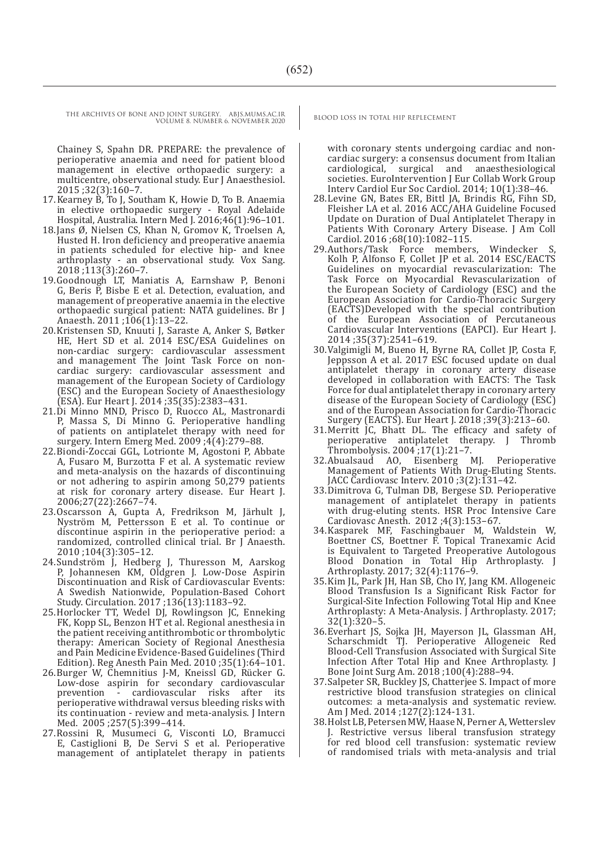Chainey S, Spahn DR. PREPARE: the prevalence of perioperative anaemia and need for patient blood management in elective orthopaedic surgery: a multicentre, observational study. Eur J Anaesthesiol. 2015 ;32(3):160–7.

- 17.Kearney B, To J, Southam K, Howie D, To B. Anaemia in elective orthopaedic surgery - Royal Adelaide Hospital, Australia. Intern Med J. 2016;46(1):96–101.
- 18.Jans Ø, Nielsen CS, Khan N, Gromov K, Troelsen A, Husted H. Iron deficiency and preoperative anaemia in patients scheduled for elective hip- and knee arthroplasty - an observational study. Vox Sang. 2018 ;113(3):260–7.
- 19.Goodnough LT, Maniatis A, Earnshaw P, Benoni G, Beris P, Bisbe E et al. Detection, evaluation, and management of preoperative anaemia in the elective orthopaedic surgical patient: NATA guidelines. Br J Anaesth. 2011 ;106(1):13–22.
- 20.Kristensen SD, Knuuti J, Saraste A, Anker S, Bøtker HE, Hert SD et al. 2014 ESC/ESA Guidelines on non-cardiac surgery: cardiovascular assessment and management The Joint Task Force on noncardiac surgery: cardiovascular assessment and management of the European Society of Cardiology (ESC) and the European Society of Anaesthesiology (ESA). Eur Heart J. 2014 ;35(35):2383–431.
- 21.Di Minno MND, Prisco D, Ruocco AL, Mastronardi P, Massa S, Di Minno G. Perioperative handling of patients on antiplatelet therapy with need for surgery. Intern Emerg Med. 2009 ;4(4):279–88.
- 22.Biondi-Zoccai GGL, Lotrionte M, Agostoni P, Abbate A, Fusaro M, Burzotta F et al. A systematic review and meta-analysis on the hazards of discontinuing or not adhering to aspirin among 50,279 patients at risk for coronary artery disease. Eur Heart J. 2006;27(22):2667–74.
- 23.Oscarsson A, Gupta A, Fredrikson M, Järhult J, Nyström M, Pettersson E et al. To continue or discontinue aspirin in the perioperative period: a randomized, controlled clinical trial. Br J Anaesth. 2010 ;104(3):305–12.
- 24.Sundström J, Hedberg J, Thuresson M, Aarskog P, Johannesen KM, Oldgren J. Low-Dose Aspirin Discontinuation and Risk of Cardiovascular Events: A Swedish Nationwide, Population-Based Cohort Study. Circulation. 2017 ;136(13):1183–92.
- 25.Horlocker TT, Wedel DJ, Rowlingson JC, Enneking FK, Kopp SL, Benzon HT et al. Regional anesthesia in the patient receiving antithrombotic or thrombolytic therapy: American Society of Regional Anesthesia and Pain Medicine Evidence-Based Guidelines (Third Edition). Reg Anesth Pain Med. 2010 ;35(1):64–101.
- 26.Burger W, Chemnitius J-M, Kneissl GD, Rücker G. Low-dose aspirin for secondary cardiovascular prevention - cardiovascular risks after its perioperative withdrawal versus bleeding risks with its continuation - review and meta-analysis. J Intern Med. 2005 ;257(5):399–414.
- 27.Rossini R, Musumeci G, Visconti LO, Bramucci E, Castiglioni B, De Servi S et al. Perioperative management of antiplatelet therapy in patients

with coronary stents undergoing cardiac and noncardiac surgery: a consensus document from Italian cardiological, surgical and anaesthesiological societies. EuroIntervention J Eur Collab Work Group Interv Cardiol Eur Soc Cardiol. 2014; 10(1):38–46.

- 28.Levine GN, Bates ER, Bittl JA, Brindis RG, Fihn SD, Fleisher LA et al. 2016 ACC/AHA Guideline Focused Update on Duration of Dual Antiplatelet Therapy in Patients With Coronary Artery Disease. J Am Coll Cardiol. 2016 ;68(10):1082–115.
- 29.Authors/Task Force members, Windecker S, Kolh P, Alfonso F, Collet JP et al. 2014 ESC/EACTS Guidelines on myocardial revascularization: The Task Force on Myocardial Revascularization of the European Society of Cardiology (ESC) and the European Association for Cardio-Thoracic Surgery (EACTS)Developed with the special contribution of the European Association of Percutaneous Cardiovascular Interventions (EAPCI). Eur Heart J. 2014 ;35(37):2541–619.
- 30.Valgimigli M, Bueno H, Byrne RA, Collet JP, Costa F, Jeppsson A et al. 2017 ESC focused update on dual antiplatelet therapy in coronary artery disease developed in collaboration with EACTS: The Task Force for dual antiplatelet therapy in coronary artery disease of the European Society of Cardiology (ESC) and of the European Association for Cardio-Thoracic Surgery (EACTS). Eur Heart J. 2018 ;39(3):213–60.
- 31.Merritt JC, Bhatt DL. The efficacy and safety of perioperative antiplatelet therapy. J Thromb Thrombolysis. 2004 ;17(1):21–7.
- 32.Abualsaud AO, Eisenberg MJ. Perioperative Management of Patients With Drug-Eluting Stents. JACC Cardiovasc Interv. 2010 ;3(2):131–42.
- 33.Dimitrova G, Tulman DB, Bergese SD. Perioperative management of antiplatelet therapy in patients with drug-eluting stents. HSR Proc Intensive Care Cardiovasc Anesth. 2012 ;4(3):153–67.
- 34.Kasparek MF, Faschingbauer M, Waldstein W, Boettner CS, Boettner F. Topical Tranexamic Acid is Equivalent to Targeted Preoperative Autologous Blood Donation in Total Hip Arthroplasty. Arthroplasty. 2017; 32(4):1176–9.
- 35.Kim JL, Park JH, Han SB, Cho IY, Jang KM. Allogeneic Blood Transfusion Is a Significant Risk Factor for Surgical-Site Infection Following Total Hip and Knee Arthroplasty: A Meta-Analysis. J Arthroplasty. 2017;  $32(1):320-5.$
- 36.Everhart JS, Sojka JH, Mayerson JL, Glassman AH, Scharschmidt TJ. Perioperative Allogeneic Red Blood-Cell Transfusion Associated with Surgical Site Infection After Total Hip and Knee Arthroplasty. J Bone Joint Surg Am. 2018 ;100(4):288–94.
- 37.Salpeter SR, Buckley JS, Chatterjee S. Impact of more restrictive blood transfusion strategies on clinical outcomes: a meta-analysis and systematic review. Am J Med. 2014; 127(2): 124-131.
- 38.Holst LB, Petersen MW, Haase N, Perner A, Wetterslev J. Restrictive versus liberal transfusion strategy for red blood cell transfusion: systematic review of randomised trials with meta-analysis and trial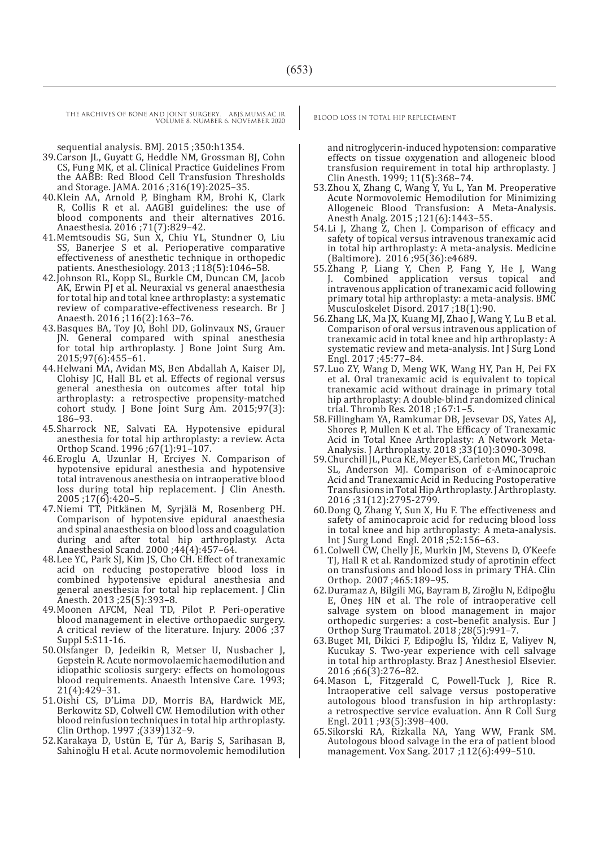sequential analysis. BMJ. 2015 ;350:h1354.

- 39.Carson JL, Guyatt G, Heddle NM, Grossman BJ, Cohn CS, Fung MK, et al. Clinical Practice Guidelines From the AABB: Red Blood Cell Transfusion Thresholds and Storage. JAMA. 2016 ;316(19):2025–35.
- 40.Klein AA, Arnold P, Bingham RM, Brohi K, Clark R, Collis R et al. AAGBI guidelines: the use of blood components and their alternatives 2016. Anaesthesia. 2016 ;71(7):829–42.
- 41.Memtsoudis SG, Sun X, Chiu YL, Stundner O, Liu SS, Banerjee S et al. Perioperative comparative effectiveness of anesthetic technique in orthopedic patients. Anesthesiology. 2013 ;118(5):1046–58.
- 42.Johnson RL, Kopp SL, Burkle CM, Duncan CM, Jacob AK, Erwin PJ et al. Neuraxial vs general anaesthesia for total hip and total knee arthroplasty: a systematic review of comparative-effectiveness research. Br J Anaesth. 2016 ;116(2):163–76.
- 43.Basques BA, Toy JO, Bohl DD, Golinvaux NS, Grauer JN. General compared with spinal anesthesia for total hip arthroplasty. J Bone Joint Surg Am. 2015;97(6):455–61.
- 44.Helwani MA, Avidan MS, Ben Abdallah A, Kaiser DJ, Clohisy JC, Hall BL et al. Effects of regional versus general anesthesia on outcomes after total hip arthroplasty: a retrospective propensity-matched cohort study. J Bone Joint Surg Am. 2015;97(3): 186–93.
- 45.Sharrock NE, Salvati EA. Hypotensive epidural anesthesia for total hip arthroplasty: a review. Acta Orthop Scand. 1996 ;67(1):91–107.
- 46.Eroglu A, Uzunlar H, Erciyes N. Comparison of hypotensive epidural anesthesia and hypotensive total intravenous anesthesia on intraoperative blood loss during total hip replacement. J Clin Anesth. 2005 ;17(6):420–5.
- 47.Niemi TT, Pitkänen M, Syrjälä M, Rosenberg PH. Comparison of hypotensive epidural anaesthesia and spinal anaesthesia on blood loss and coagulation during and after total hip arthroplasty. Acta Anaesthesiol Scand. 2000 ;44(4):457–64.
- 48.Lee YC, Park SJ, Kim JS, Cho CH. Effect of tranexamic acid on reducing postoperative blood loss in combined hypotensive epidural anesthesia and general anesthesia for total hip replacement. J Clin Anesth. 2013 ;25(5):393–8.
- 49.Moonen AFCM, Neal TD, Pilot P. Peri-operative blood management in elective orthopaedic surgery. A critical review of the literature. Injury. 2006 ;37 Suppl 5:S11-16.
- 50.Olsfanger D, Jedeikin R, Metser U, Nusbacher J, Gepstein R. Acute normovolaemic haemodilution and idiopathic scoliosis surgery: effects on homologous blood requirements. Anaesth Intensive Care. 1993; 21(4):429–31.
- 51.Oishi CS, D'Lima DD, Morris BA, Hardwick ME, Berkowitz SD, Colwell CW. Hemodilution with other blood reinfusion techniques in total hip arthroplasty. Clin Orthop. 1997 ;(339)132–9.
- 52.Karakaya D, Ustün E, Tür A, Bariş S, Sarihasan B, Sahinoğlu H et al. Acute normovolemic hemodilution

and nitroglycerin-induced hypotension: comparative effects on tissue oxygenation and allogeneic blood transfusion requirement in total hip arthroplasty. J Clin Anesth. 1999; 11(5):368–74.

- 53.Zhou X, Zhang C, Wang Y, Yu L, Yan M. Preoperative Acute Normovolemic Hemodilution for Minimizing Allogeneic Blood Transfusion: A Meta-Analysis. Anesth Analg. 2015 ;121(6):1443–55.
- 54.Li J, Zhang Z, Chen J. Comparison of efficacy and safety of topical versus intravenous tranexamic acid in total hip arthroplasty: A meta-analysis. Medicine (Baltimore). 2016 ;95(36):e4689.
- 55.Zhang P, Liang Y, Chen P, Fang Y, He J, Wang Combined application versus topical and intravenous application of tranexamic acid following primary total hip arthroplasty: a meta-analysis. BMC Musculoskelet Disord. 2017 ;18(1):90.
- 56.Zhang LK, Ma JX, Kuang MJ, Zhao J, Wang Y, Lu B et al. Comparison of oral versus intravenous application of tranexamic acid in total knee and hip arthroplasty: A systematic review and meta-analysis. Int J Surg Lond Engl. 2017 ;45:77–84.
- 57.Luo ZY, Wang D, Meng WK, Wang HY, Pan H, Pei FX et al. Oral tranexamic acid is equivalent to topical tranexamic acid without drainage in primary total hip arthroplasty: A double-blind randomized clinical trial. Thromb Res. 2018 ;167:1–5.
- 58.Fillingham YA, Ramkumar DB, Jevsevar DS, Yates AJ, Shores P, Mullen K et al. The Efficacy of Tranexamic Acid in Total Knee Arthroplasty: A Network Meta-Analysis. J Arthroplasty. 2018 ;33(10):3090-3098.
- 59.Churchill JL, Puca KE, Meyer ES, Carleton MC, Truchan SL, Anderson MJ. Comparison of ε-Aminocaproic Acid and Tranexamic Acid in Reducing Postoperative Transfusions in Total Hip Arthroplasty. J Arthroplasty. 2016 ;31(12):2795-2799.
- 60.Dong Q, Zhang Y, Sun X, Hu F. The effectiveness and safety of aminocaproic acid for reducing blood loss in total knee and hip arthroplasty: A meta-analysis. Int J Surg Lond Engl. 2018 ;52:156–63.
- 61.Colwell CW, Chelly JE, Murkin JM, Stevens D, O'Keefe TJ, Hall R et al. Randomized study of aprotinin effect on transfusions and blood loss in primary THA. Clin Orthop. 2007 ;465:189–95.
- 62.Duramaz A, Bilgili MG, Bayram B, Ziroğlu N, Edipoğlu E, Önes HN et al. The role of intraoperative cell salvage system on blood management in major orthopedic surgeries: a cost–benefit analysis. Eur J Orthop Surg Traumatol. 2018 ;28(5):991–7.
- 63.Buget MI, Dikici F, Edipoğlu İ�S, Yıldız E, Valiyev N, Kucukay S. Two-year experience with cell salvage in total hip arthroplasty. Braz J Anesthesiol Elsevier. 2016 ;66(3):276–82.
- 64.Mason L, Fitzgerald C, Powell-Tuck J, Rice R. Intraoperative cell salvage versus postoperative autologous blood transfusion in hip arthroplasty: a retrospective service evaluation. Ann R Coll Surg Engl. 2011 ;93(5):398–400.
- 65.Sikorski RA, Rizkalla NA, Yang WW, Frank SM. Autologous blood salvage in the era of patient blood management. Vox Sang. 2017 ;112(6):499–510.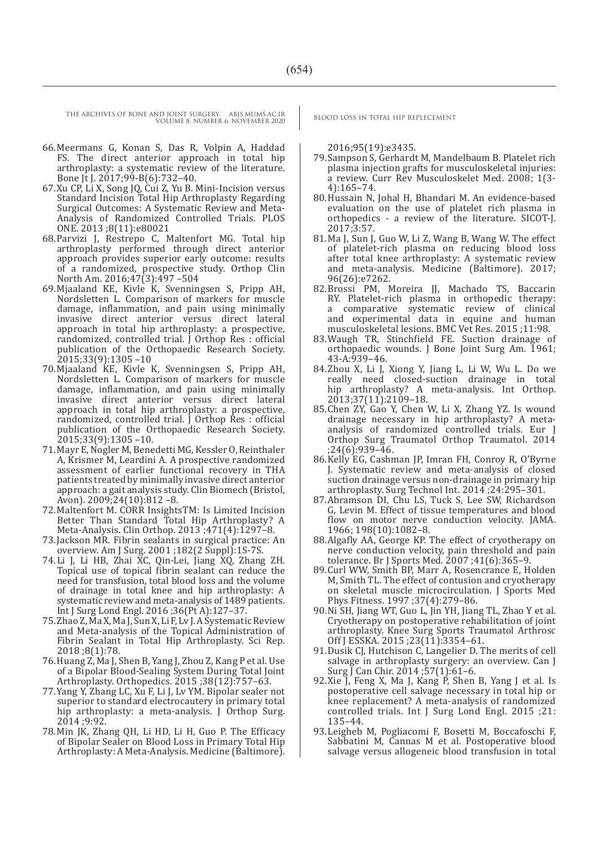- 66.Meermans G, Konan S, Das R, Volpin A, Haddad FS. The direct anterior approach in total hip arthroplasty: a systematic review of the literature. Bone Jt J. 2017;99-B(6):732–40.
- 67.Xu CP, Li X, Song JQ, Cui Z, Yu B. Mini-Incision versus Standard Incision Total Hip Arthroplasty Regarding Surgical Outcomes: A Systematic Review and Meta-Analysis of Randomized Controlled Trials. PLOS ONE. 2013 ;8(11):e80021
- 68.Parvizi J, Restrepo C, Maltenfort MG. Total hip arthroplasty performed through direct anterior approach provides superior early outcome: results of a randomized, prospective study. Orthop Clin North Am. 2016;47(3):497 –504
- 69.Mjaaland KE, Kivle K, Svenningsen S, Pripp AH, Nordsletten L. Comparison of markers for muscle damage, inflammation, and pain using minimally invasive direct anterior versus direct lateral approach in total hip arthroplasty: a prospective, randomized, controlled trial. J Orthop Res : official publication of the Orthopaedic Research Society. 2015;33(9):1305 –10
- 70.Mjaaland KE, Kivle K, Svenningsen S, Pripp AH, Nordsletten L. Comparison of markers for muscle damage, inflammation, and pain using minimally invasive direct anterior versus direct lateral approach in total hip arthroplasty: a prospective, randomized, controlled trial. J Orthop Res : official publication of the Orthopaedic Research Society. 2015;33(9):1305 –10.
- 71.Mayr E, Nogler M, Benedetti MG, Kessler O, Reinthaler A, Krismer M, Leardini A. A prospective randomized assessment of earlier functional recovery in THA patients treated by minimally invasive direct anterior approach: a gait analysis study. Clin Biomech (Bristol, Avon). 2009;24(10):812 –8.
- 72.Maltenfort M. CORR InsightsTM: Is Limited Incision Better Than Standard Total Hip Arthroplasty? A Meta-Analysis. Clin Orthop. 2013 ;471(4):1297–8.
- 73.Jackson MR. Fibrin sealants in surgical practice: An overview. Am J Surg. 2001 ;182(2 Suppl):1S-7S.
- 74.Li J, Li HB, Zhai XC, Qin-Lei, Jiang XQ, Zhang ZH. Topical use of topical fibrin sealant can reduce the need for transfusion, total blood loss and the volume of drainage in total knee and hip arthroplasty: A systematic review and meta-analysis of 1489 patients. Int J Surg Lond Engl. 2016 ;36(Pt A):127–37.
- 75.Zhao Z, Ma X, Ma J, Sun X, Li F, Lv J. A Systematic Review and Meta-analysis of the Topical Administration of Fibrin Sealant in Total Hip Arthroplasty. Sci Rep. 2018 ;8(1):78.
- 76.Huang Z, Ma J, Shen B, Yang J, Zhou Z, Kang P et al. Use of a Bipolar Blood-Sealing System During Total Joint Arthroplasty. Orthopedics. 2015 ;38(12):757–63.
- 77.Yang Y, Zhang LC, Xu F, Li J, Lv YM. Bipolar sealer not superior to standard electrocautery in primary total hip arthroplasty: a meta-analysis. J Orthop Surg. 2014 ;9:92.
- 78.Min JK, Zhang QH, Li HD, Li H, Guo P. The Efficacy of Bipolar Sealer on Blood Loss in Primary Total Hip Arthroplasty: A Meta-Analysis. Medicine (Baltimore).

2016;95(19):e3435.

- 79.Sampson S, Gerhardt M, Mandelbaum B. Platelet rich plasma injection grafts for musculoskeletal injuries: a review. Curr Rev Musculoskelet Med. 2008; 1(3- 4):165–74.
- 80.Hussain N, Johal H, Bhandari M. An evidence-based evaluation on the use of platelet rich plasma in orthopedics - a review of the literature. SICOT-J. 2017;3:57.
- 81.Ma J, Sun J, Guo W, Li Z, Wang B, Wang W. The effect of platelet-rich plasma on reducing blood loss after total knee arthroplasty: A systematic review and meta-analysis. Medicine (Baltimore). 2017; 96(26):e7262.
- 82.Brossi PM, Moreira JJ, Machado TS, Baccarin RY. Platelet-rich plasma in orthopedic therapy: a comparative systematic review of clinical and experimental data in equine and human musculoskeletal lesions. BMC Vet Res. 2015 ;11:98.
- 83.Waugh TR, Stinchfield FE. Suction drainage of orthopaedic wounds. J Bone Joint Surg Am. 1961; 43-A:939–46.
- 84.Zhou X, Li J, Xiong Y, Jiang L, Li W, Wu L. Do we really need closed-suction drainage in total hip arthroplasty? A meta-analysis. Int Orthop. 2013;37(11):2109–18.
- 85.Chen ZY, Gao Y, Chen W, Li X, Zhang YZ. Is wound drainage necessary in hip arthroplasty? A metaanalysis of randomized controlled trials. Eur J Orthop Surg Traumatol Orthop Traumatol. 2014 ;24(6):939–46.
- 86.Kelly EG, Cashman JP, Imran FH, Conroy R, O'Byrne J. Systematic review and meta-analysis of closed suction drainage versus non-drainage in primary hip arthroplasty. Surg Technol Int. 2014 ;24:295–301.
- 87.Abramson DI, Chu LS, Tuck S, Lee SW, Richardson G, Levin M. Effect of tissue temperatures and blood flow on motor nerve conduction velocity. JAMA. 1966; 198(10):1082–8.
- 88.Algafly AA, George KP. The effect of cryotherapy on nerve conduction velocity, pain threshold and pain tolerance. Br J Sports Med. 2007 ;41(6):365–9.
- 89.Curl WW, Smith BP, Marr A, Rosencrance E, Holden M, Smith TL. The effect of contusion and cryotherapy on skeletal muscle microcirculation. J Sports Med Phys Fitness. 1997 ;37(4):279–86.
- 90.Ni SH, Jiang WT, Guo L, Jin YH, Jiang TL, Zhao Y et al. Cryotherapy on postoperative rehabilitation of joint arthroplasty. Knee Surg Sports Traumatol Arthrosc Off J ESSKA. 2015 ;23(11):3354–61.
- 91.Dusik CJ, Hutchison C, Langelier D. The merits of cell salvage in arthroplasty surgery: an overview. Can J Surg J Can Chir. 2014 ;57(1):61–6.
- 92.Xie J, Feng X, Ma J, Kang P, Shen B, Yang J et al. Is postoperative cell salvage necessary in total hip or knee replacement? A meta-analysis of randomized controlled trials. Int J Surg Lond Engl. 2015 ;21: 135–44.
- 93.Leigheb M, Pogliacomi F, Bosetti M, Boccafoschi F, Sabbatini M, Cannas M et al. Postoperative blood salvage versus allogeneic blood transfusion in total